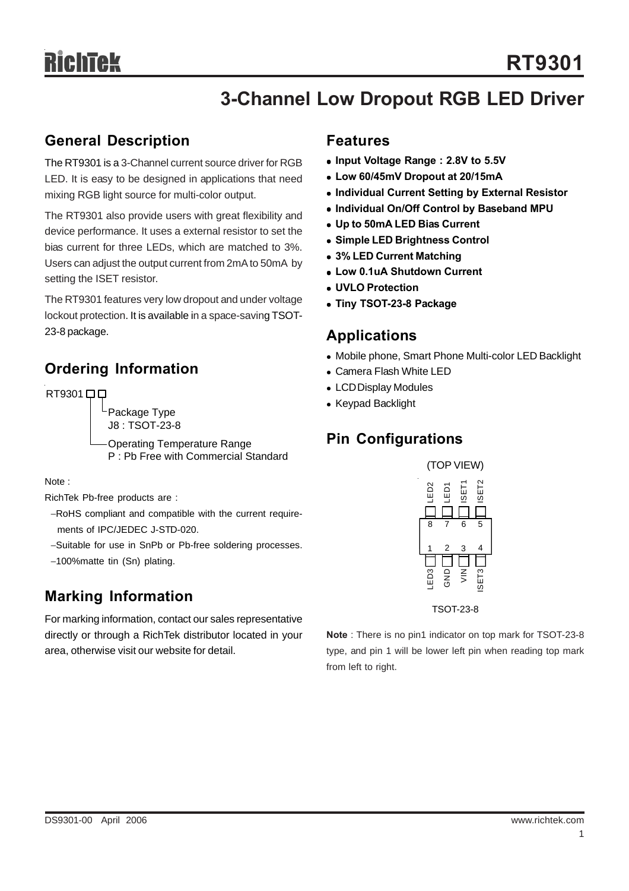## **3-Channel Low Dropout RGB LED Driver**

#### **General Description**

The RT9301 is a 3-Channel current source driver for RGB LED. It is easy to be designed in applications that need mixing RGB light source for multi-color output.

The RT9301 also provide users with great flexibility and device performance. It uses a external resistor to set the bias current for three LEDs, which are matched to 3%. Users can adjust the output current from 2mA to 50mA by setting the ISET resistor.

The RT9301 features very low dropout and under voltage lockout protection. It is available in a space-saving TSOT-23-8 package.

## **Ordering Information**

RT9301 00

Package Type J8 : TSOT-23-8

Operating Temperature Range P : Pb Free with Commercial Standard

Note :

RichTek Pb-free products are :

−RoHS compliant and compatible with the current require ments of IPC/JEDEC J-STD-020.

- −Suitable for use in SnPb or Pb-free soldering processes.
- −100%matte tin (Sn) plating.

## **Marking Information**

For marking information, contact our sales representative directly or through a RichTek distributor located in your area, otherwise visit our website for detail.

#### **Features**

- Input Voltage Range : 2.8V to 5.5V
- <sup>z</sup> **Low 60/45mV Dropout at 20/15mA**
- **Individual Current Setting by External Resistor**
- **Individual On/Off Control by Baseband MPU**
- <sup>z</sup> **Up to 50mA LED Bias Current**
- **Simple LED Brightness Control**
- <sup>z</sup> **3% LED Current Matching**
- <sup>z</sup> **Low 0.1uA Shutdown Current**
- <sup>z</sup> **UVLO Protection**
- **Tiny TSOT-23-8 Package**

#### **Applications**

- Mobile phone, Smart Phone Multi-color LED Backlight
- Camera Flash White LED
- LCD Display Modules
- Keypad Backlight

## **Pin Configurations**



TSOT-23-8

**Note** : There is no pin1 indicator on top mark for TSOT-23-8 type, and pin 1 will be lower left pin when reading top mark from left to right.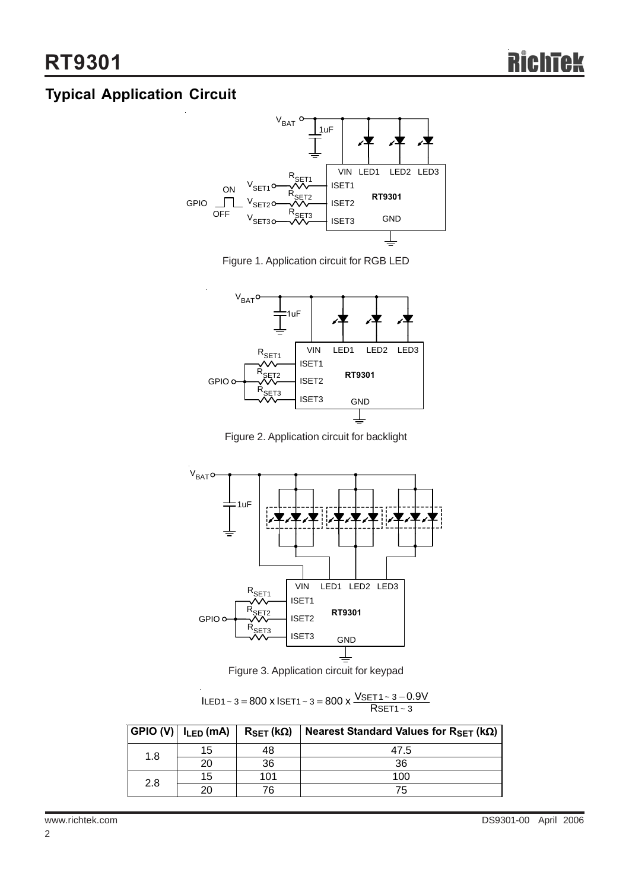## **Typical Application Circuit**



Figure 1. Application circuit for RGB LED



Figure 2. Application circuit for backlight



Figure 3. Application circuit for keypad

 $\text{LED1} \sim 3 = 800 \times \text{ISET1} \sim 3 = 800 \times \frac{\text{VSET1} \sim 3 - 0.9 \text{V}}{\text{RSET1} \sim 3}$ 

| $ GPIO (V)  I_{LED} (mA)  $ |    | $R_{\text{SET}}$ (kΩ) | Nearest Standard Values for RSET ( $k\Omega$ ) |
|-----------------------------|----|-----------------------|------------------------------------------------|
| 1.8                         | 15 | 48                    | 47.5                                           |
|                             | 20 | 36                    | 36                                             |
| 2.8                         | 15 | 101                   | 100                                            |
|                             | 20 | 76                    | 75                                             |

2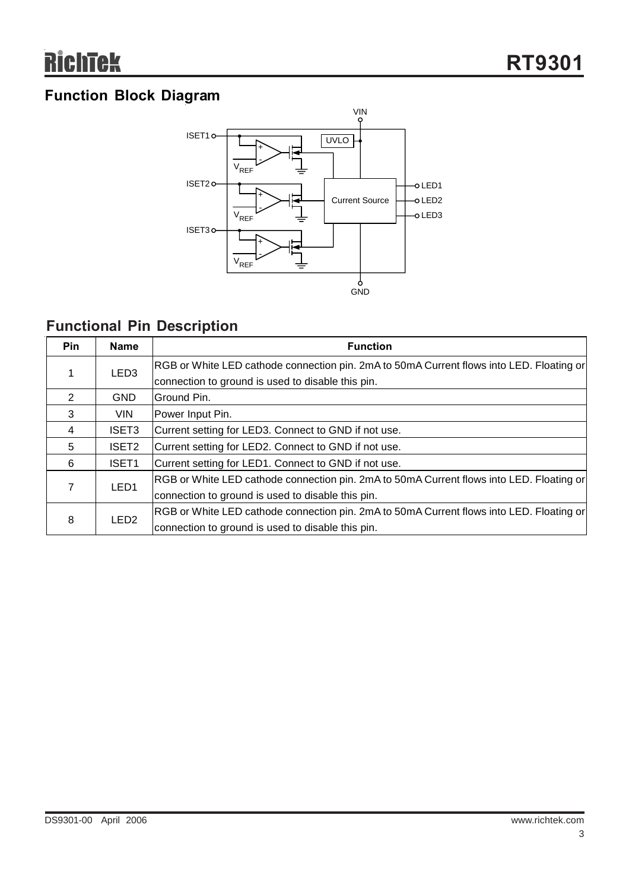## **Function Block Diagram**



## **Functional Pin Description**

| <b>Pin</b> | <b>Name</b>       | <b>Function</b>                                                                          |
|------------|-------------------|------------------------------------------------------------------------------------------|
| 1          | LED <sub>3</sub>  | RGB or White LED cathode connection pin. 2mA to 50mA Current flows into LED. Floating or |
|            |                   | connection to ground is used to disable this pin.                                        |
| 2          | <b>GND</b>        | Ground Pin.                                                                              |
| 3          | <b>VIN</b>        | Power Input Pin.                                                                         |
| 4          | ISET <sub>3</sub> | Current setting for LED3. Connect to GND if not use.                                     |
| 5          | ISET <sub>2</sub> | Current setting for LED2. Connect to GND if not use.                                     |
| 6          | ISET1             | Current setting for LED1. Connect to GND if not use.                                     |
| 7          | LED <sub>1</sub>  | RGB or White LED cathode connection pin. 2mA to 50mA Current flows into LED. Floating or |
|            |                   | connection to ground is used to disable this pin.                                        |
| 8          | LED <sub>2</sub>  | RGB or White LED cathode connection pin. 2mA to 50mA Current flows into LED. Floating or |
|            |                   | connection to ground is used to disable this pin.                                        |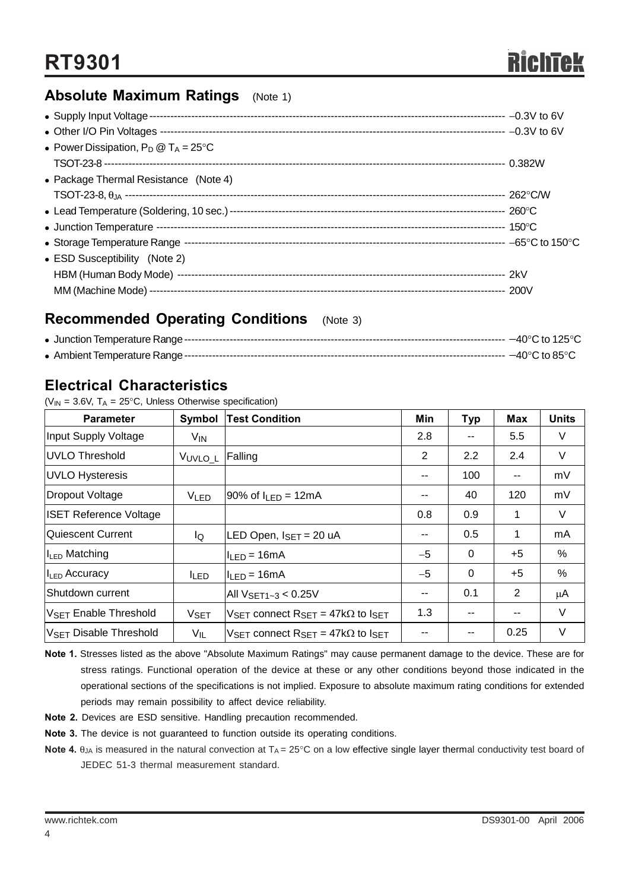#### **Absolute Maximum Ratings** (Note 1)

| • Power Dissipation, $P_D @ T_A = 25^{\circ}C$ |  |
|------------------------------------------------|--|
|                                                |  |
| • Package Thermal Resistance (Note 4)          |  |
|                                                |  |
|                                                |  |
|                                                |  |
|                                                |  |
| • ESD Susceptibility (Note 2)                  |  |
|                                                |  |
|                                                |  |

#### **Recommended Operating Conditions** (Note 3)

#### **Electrical Characteristics**

( $V_{IN}$  = 3.6V, T<sub>A</sub> = 25°C, Unless Otherwise specification)

| <b>Parameter</b>                  | Symbol                 | <b>Test Condition</b>                                                     | Min                      | <b>Typ</b> | Max                      | <b>Units</b> |
|-----------------------------------|------------------------|---------------------------------------------------------------------------|--------------------------|------------|--------------------------|--------------|
| Input Supply Voltage              | $V_{IN}$               |                                                                           | 2.8                      |            | 5.5                      | V            |
| UVLO Threshold                    | VUVLO_L                | Falling                                                                   | 2                        | 2.2        | 2.4                      | V            |
| UVLO Hysteresis                   |                        |                                                                           | $\overline{\phantom{a}}$ | 100        | $\overline{\phantom{a}}$ | mV           |
| Dropout Voltage                   | V <sub>LED</sub>       | $90\%$ of $I_{LED} = 12mA$                                                | --                       | 40         | 120                      | mV           |
| <b>ISET Reference Voltage</b>     |                        |                                                                           | 0.8                      | 0.9        | 1                        | V            |
| Quiescent Current                 | lQ                     | LED Open, $I_{\text{SET}} = 20$ uA                                        | $\overline{\phantom{a}}$ | 0.5        | 1                        | mA           |
| I <sub>LED</sub> Matching         |                        | $I_{LED} = 16mA$                                                          | $-5$                     | $\Omega$   | $+5$                     | %            |
| II <sub>LED</sub> Accuracy        | <b>ILED</b>            | $I_{LED} = 16mA$                                                          | $-5$                     | $\Omega$   | $+5$                     | %            |
| Shutdown current                  |                        | All $V_{\rm SET 1-3}$ < 0.25V                                             | $\overline{\phantom{a}}$ | 0.1        | 2                        | μA           |
| V <sub>SET</sub> Enable Threshold | <b>V<sub>SET</sub></b> | $V_{\text{SET}}$ connect $R_{\text{SET}} = 47k\Omega$ to $I_{\text{SET}}$ | 1.3                      | $-$        | $\overline{\phantom{a}}$ | V            |
| <b>VSET Disable Threshold</b>     | $V_{IL}$               | $V_{\rm SFT}$ connect $R_{\rm SFT}$ = 47k $\Omega$ to $I_{\rm SFT}$       | --                       |            | 0.25                     | V            |

**Note 1.** Stresses listed as the above "Absolute Maximum Ratings" may cause permanent damage to the device. These are for stress ratings. Functional operation of the device at these or any other conditions beyond those indicated in the operational sections of the specifications is not implied. Exposure to absolute maximum rating conditions for extended periods may remain possibility to affect device reliability.

- **Note 2.** Devices are ESD sensitive. Handling precaution recommended.
- **Note 3.** The device is not guaranteed to function outside its operating conditions.
- **Note 4.**  $\theta_{JA}$  is measured in the natural convection at  $T_A = 25^\circ \text{C}$  on a low effective single layer thermal conductivity test board of JEDEC 51-3 thermal measurement standard.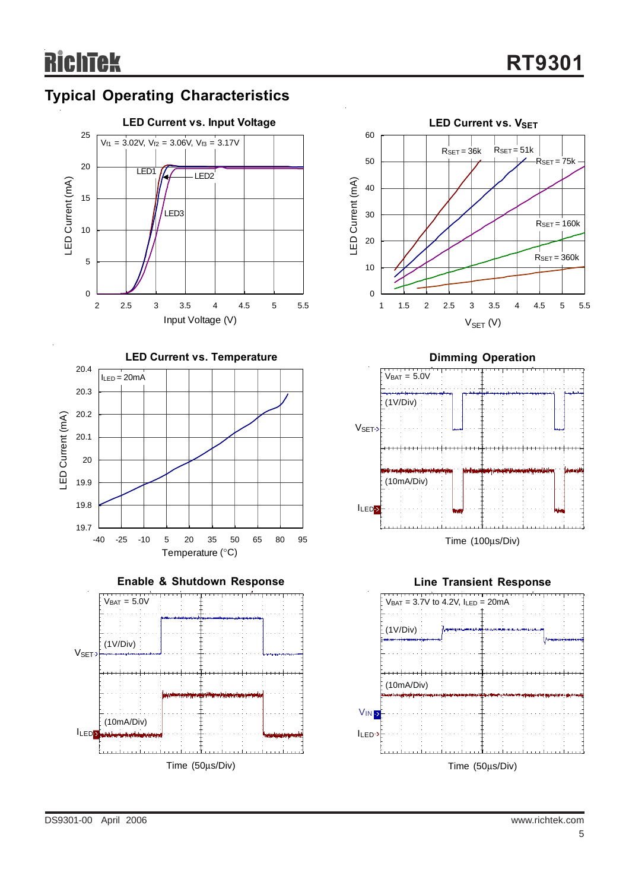











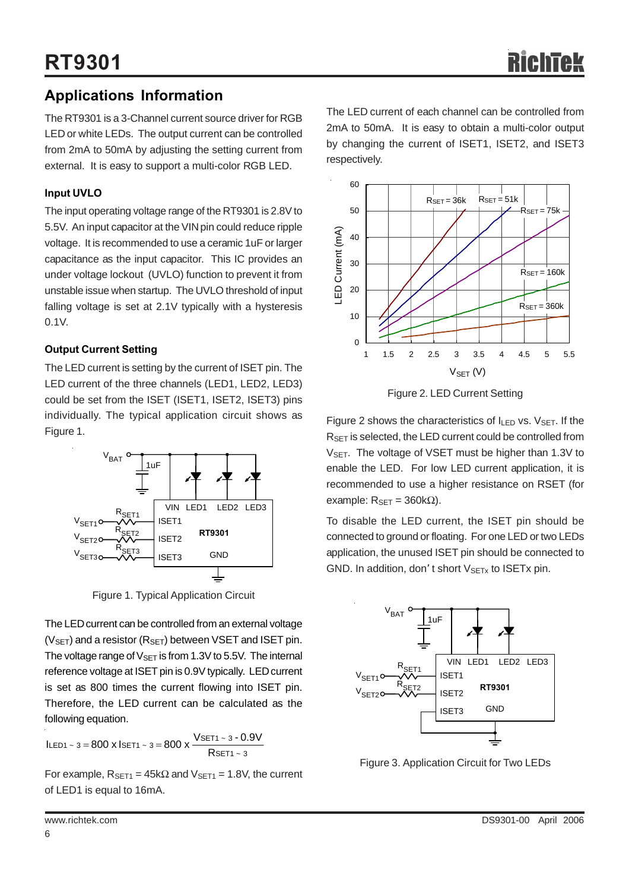## **Applications Information**

The RT9301 is a 3-Channel current source driver for RGB LED or white LEDs. The output current can be controlled from 2mA to 50mA by adjusting the setting current from external. It is easy to support a multi-color RGB LED.

#### **Input UVLO**

The input operating voltage range of the RT9301 is 2.8V to 5.5V. An input capacitor at the VIN pin could reduce ripple voltage. It is recommended to use a ceramic 1uF or larger capacitance as the input capacitor. This IC provides an under voltage lockout (UVLO) function to prevent it from unstable issue when startup. The UVLO threshold of input falling voltage is set at 2.1V typically with a hysteresis 0.1V.

#### **Output Current Setting**

The LED current is setting by the current of ISET pin. The LED current of the three channels (LED1, LED2, LED3) could be set from the ISET (ISET1, ISET2, ISET3) pins individually. The typical application circuit shows as Figure 1.



Figure 1. Typical Application Circuit

The LED current can be controlled from an external voltage  $(V_{SET})$  and a resistor ( $R_{SET}$ ) between VSET and ISET pin. The voltage range of  $V_{\text{SFT}}$  is from 1.3V to 5.5V. The internal reference voltage at ISET pin is 0.9V typically. LED current is set as 800 times the current flowing into ISET pin. Therefore, the LED current can be calculated as the following equation.

$$
ILED1 \sim 3 = 800 \text{ x } ISET1 \sim 3 = 800 \text{ x } \frac{VSET1 \sim 3 - 0.9V}{RSET1 \sim 3}
$$

For example,  $R_{\text{SET1}} = 45k\Omega$  and  $V_{\text{SET1}} = 1.8V$ , the current of LED1 is equal to 16mA.

The LED current of each channel can be controlled from 2mA to 50mA. It is easy to obtain a multi-color output by changing the current of ISET1, ISET2, and ISET3 respectively.



Figure 2. LED Current Setting

Figure 2 shows the characteristics of  $I_{LED}$  vs.  $V_{SET}$ . If the R<sub>SET</sub> is selected, the LED current could be controlled from V<sub>SET</sub>. The voltage of VSET must be higher than 1.3V to enable the LED. For low LED current application, it is recommended to use a higher resistance on RSET (for example:  $R_{SET} = 360kΩ$ ).

To disable the LED current, the ISET pin should be connected to ground or floating. For one LED or two LEDs application, the unused ISET pin should be connected to GND. In addition, don't short  $V_{\text{SETx}}$  to ISETx pin.



Figure 3. Application Circuit for Two LEDs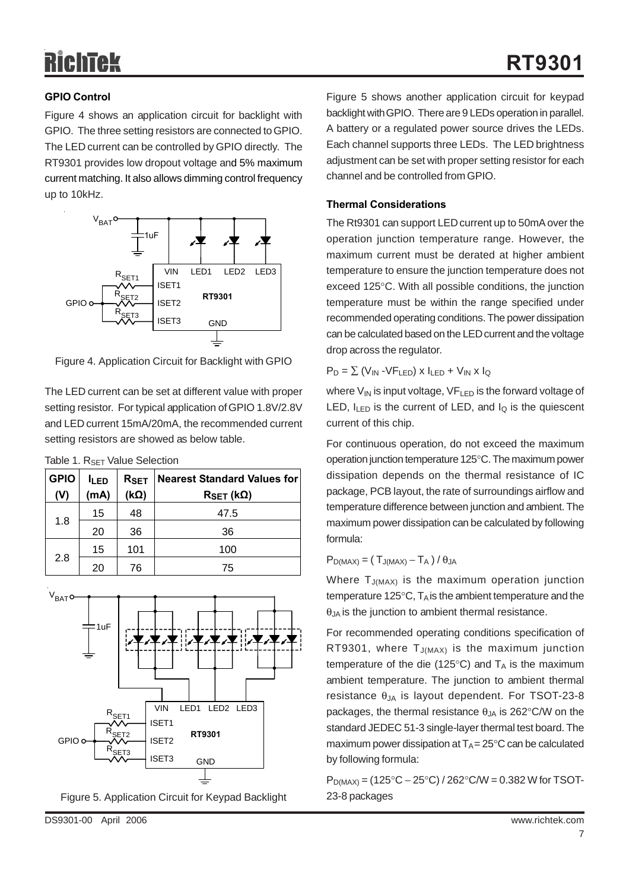# RichTek

#### **GPIO Control**

Figure 4 shows an application circuit for backlight with GPIO. The three setting resistors are connected to GPIO. The LED current can be controlled by GPIO directly. The RT9301 provides low dropout voltage and 5% maximum current matching. It also allows dimming control frequency up to 10kHz.



Figure 4. Application Circuit for Backlight with GPIO

The LED current can be set at different value with proper setting resistor. For typical application of GPIO 1.8V/2.8V and LED current 15mA/20mA, the recommended current setting resistors are showed as below table.

|  |  | Table 1. R <sub>SET</sub> Value Selection |
|--|--|-------------------------------------------|
|  |  |                                           |

| <b>GPIO</b> | <b>ILED</b> | R <sub>SET</sub> | <b>Nearest Standard Values for</b> |  |
|-------------|-------------|------------------|------------------------------------|--|
| (V)         | (mA)        | $R_{SET}$ (kΩ)   |                                    |  |
| 1.8         | 15          | 48               | 47.5                               |  |
|             | 20          | 36               | 36                                 |  |
| 2.8         | 15          | 101              | 100                                |  |
|             | 20          | 76               | 75                                 |  |



Figure 5. Application Circuit for Keypad Backlight

Figure 5 shows another application circuit for keypad backlight with GPIO. There are 9 LEDs operation in parallel. A battery or a regulated power source drives the LEDs. Each channel supports three LEDs. The LED brightness adjustment can be set with proper setting resistor for each channel and be controlled from GPIO.

#### **Thermal Considerations**

The Rt9301 can support LED current up to 50mA over the operation junction temperature range. However, the maximum current must be derated at higher ambient temperature to ensure the junction temperature does not exceed 125°C. With all possible conditions, the junction temperature must be within the range specified under recommended operating conditions. The power dissipation can be calculated based on the LED current and the voltage drop across the regulator.

 $P_D = \sum (V_{IN} - VF_{LED}) \times I_{LED} + V_{IN} \times I_Q$ 

where  $V_{\text{IN}}$  is input voltage,  $VF_{\text{LED}}$  is the forward voltage of LED,  $I_{LED}$  is the current of LED, and  $I_Q$  is the quiescent current of this chip.

For continuous operation, do not exceed the maximum operation junction temperature 125°C. The maximum power dissipation depends on the thermal resistance of IC package, PCB layout, the rate of surroundings airflow and temperature difference between junction and ambient. The maximum power dissipation can be calculated by following formula:

#### $P_{D(MAX)} = (T_{J(MAX)} - T_A) / \theta_{JA}$

Where T<sub>J(MAX)</sub> is the maximum operation junction temperature 125 $\degree$ C, T<sub>A</sub> is the ambient temperature and the  $\theta$ <sub>JA</sub> is the junction to ambient thermal resistance.

For recommended operating conditions specification of RT9301, where  $T_{J(MAX)}$  is the maximum junction temperature of the die (125 $\degree$ C) and  $T_A$  is the maximum ambient temperature. The junction to ambient thermal resistance  $θ<sub>JA</sub>$  is layout dependent. For TSOT-23-8 packages, the thermal resistance  $\theta_{JA}$  is 262°C/W on the standard JEDEC 51-3 single-layer thermal test board. The maximum power dissipation at  $T_A = 25^{\circ}C$  can be calculated by following formula:

 $P_{D(MAX)} = (125\degree C - 25\degree C) / 262\degree C/W = 0.382 W$  for TSOT-23-8 packages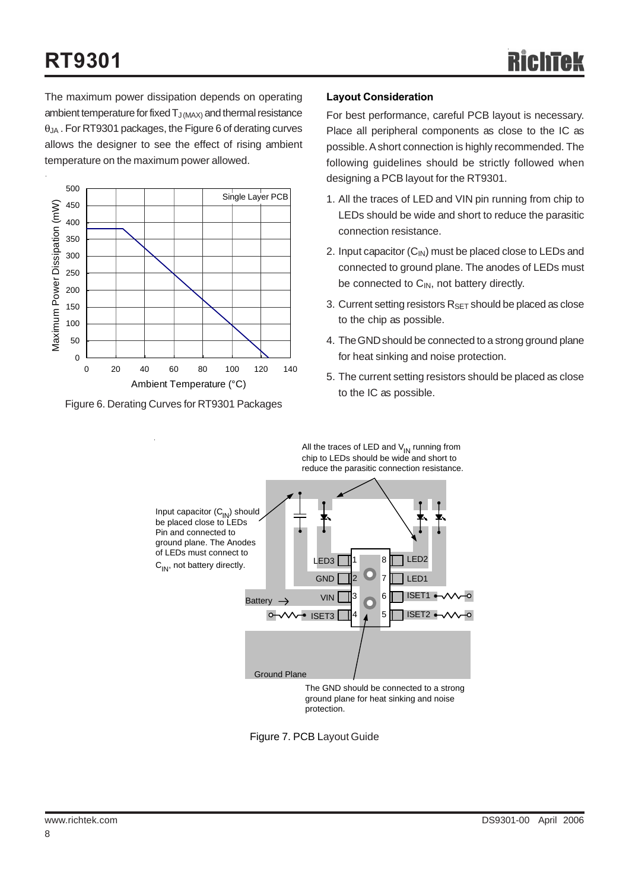The maximum power dissipation depends on operating ambient temperature for fixed  $T_{J(MAX)}$  and thermal resistance  $\theta_{JA}$ . For RT9301 packages, the Figure 6 of derating curves allows the designer to see the effect of rising ambient temperature on the maximum power allowed.



Figure 6. Derating Curves for RT9301 Packages

#### **Layout Consideration**

All the traces of LED and  $V_{IN}$  running from

For best performance, careful PCB layout is necessary. Place all peripheral components as close to the IC as possible. A short connection is highly recommended. The following guidelines should be strictly followed when designing a PCB layout for the RT9301.

- 1. All the traces of LED and VIN pin running from chip to LEDs should be wide and short to reduce the parasitic connection resistance.
- 2. Input capacitor  $(C_{IN})$  must be placed close to LEDs and connected to ground plane. The anodes of LEDs must be connected to  $C_{IN}$ , not battery directly.
- 3. Current setting resistors  $R_{\text{SET}}$  should be placed as close to the chip as possible.
- 4. The GND should be connected to a strong ground plane for heat sinking and noise protection.
- 5. The current setting resistors should be placed as close to the IC as possible.



Figure 7. PCB Layout Guide